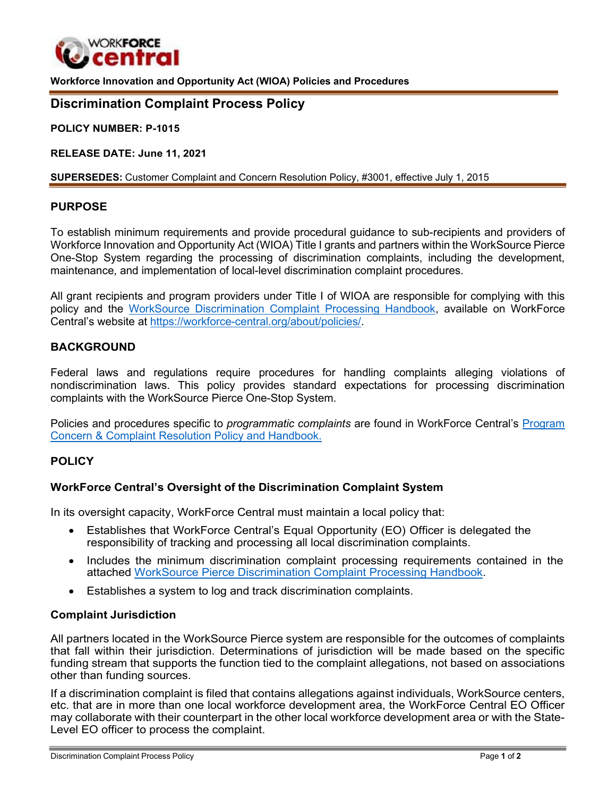

**Workforce Innovation and Opportunity Act (WIOA) Policies and Procedures**

# **Discrimination Complaint Process Policy**

**POLICY NUMBER: P-1015**

**RELEASE DATE: June 11, 2021**

**SUPERSEDES:** Customer Complaint and Concern Resolution Policy, #3001, effective July 1, 2015

# **PURPOSE**

To establish minimum requirements and provide procedural guidance to sub-recipients and providers of Workforce Innovation and Opportunity Act (WIOA) Title I grants and partners within the WorkSource Pierce One-Stop System regarding the processing of discrimination complaints, including the development, maintenance, and implementation of local-level discrimination complaint procedures.

All grant recipients and program providers under Title I of WIOA are responsible for complying with this policy and the [WorkSource Discrimination Complaint Processing Handbook,](https://workforce-central.org/about/policies/) available on WorkForce Central's website at [https://workforce-central.org/about/policies/.](https://workforce-central.org/about/policies/)

#### **BACKGROUND**

Federal laws and regulations require procedures for handling complaints alleging violations of nondiscrimination laws. This policy provides standard expectations for processing discrimination complaints with the WorkSource Pierce One-Stop System.

Policies and procedures specific to *programmatic complaints* are found in WorkForce Central's [Program](https://workforce-central.org/about/policies/) Concern [& Complaint Resolution Policy and](https://workforce-central.org/about/policies/) Handbook.

### **POLICY**

#### **WorkForce Central's Oversight of the Discrimination Complaint System**

In its oversight capacity, WorkForce Central must maintain a local policy that:

- Establishes that WorkForce Central's Equal Opportunity (EO) Officer is delegated the responsibility of tracking and processing all local discrimination complaints.
- Includes the minimum discrimination complaint processing requirements contained in the attached WorkSource Pierce [Discrimination](https://workforce-central.org/about/policies/) Complaint Processing Handbook.
- Establishes a system to log and track discrimination complaints.

#### **Complaint Jurisdiction**

All partners located in the WorkSource Pierce system are responsible for the outcomes of complaints that fall within their jurisdiction. Determinations of jurisdiction will be made based on the specific funding stream that supports the function tied to the complaint allegations, not based on associations other than funding sources.

If a discrimination complaint is filed that contains allegations against individuals, WorkSource centers, etc. that are in more than one local workforce development area, the WorkForce Central EO Officer may collaborate with their counterpart in the other local workforce development area or with the State-Level EO officer to process the complaint.